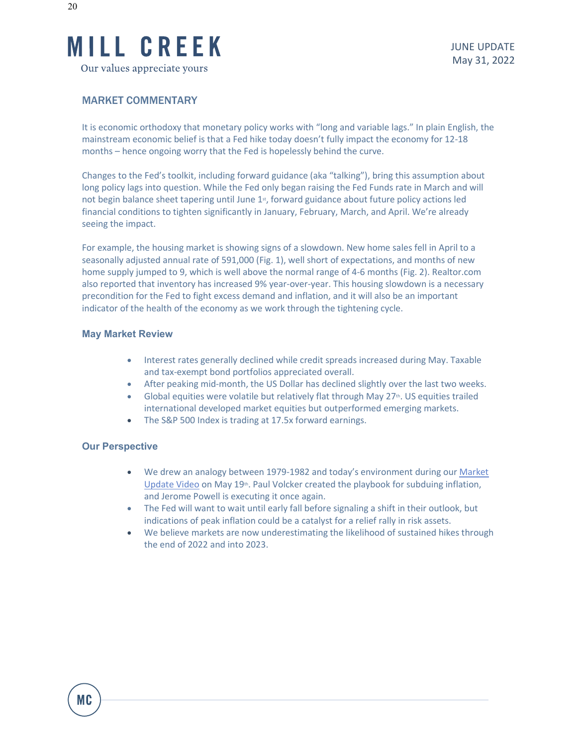

## MARKET COMMENTARY

It is economic orthodoxy that monetary policy works with "long and variable lags." In plain English, the mainstream economic belief is that a Fed hike today doesn't fully impact the economy for 12-18 months – hence ongoing worry that the Fed is hopelessly behind the curve.

Changes to the Fed's toolkit, including forward guidance (aka "talking"), bring this assumption about long policy lags into question. While the Fed only began raising the Fed Funds rate in March and will not begin balance sheet tapering until June 1<sup>st</sup>, forward guidance about future policy actions led financial conditions to tighten significantly in January, February, March, and April. We're already seeing the impact.

For example, the housing market is showing signs of a slowdown. New home sales fell in April to a seasonally adjusted annual rate of 591,000 (Fig. 1), well short of expectations, and months of new home supply jumped to 9, which is well above the normal range of 4-6 months (Fig. 2). Realtor.com also reported that inventory has increased 9% year-over-year. This housing slowdown is a necessary precondition for the Fed to fight excess demand and inflation, and it will also be an important indicator of the health of the economy as we work through the tightening cycle.

### **May Market Review**

- Interest rates generally declined while credit spreads increased during May. Taxable and tax-exempt bond portfolios appreciated overall.
- After peaking mid-month, the US Dollar has declined slightly over the last two weeks.
- Global equities were volatile but relatively flat through May  $27<sup>th</sup>$ . US equities trailed international developed market equities but outperformed emerging markets.
- The S&P 500 Index is trading at 17.5x forward earnings.

### **Our Perspective**

- We drew an analogy between 1979-1982 and today's environment during our [Market](https://www.youtube.com/watch?v=YvSb0oxNpOg)  [Update Video](https://www.youtube.com/watch?v=YvSb0oxNpOg) on May  $19<sup>th</sup>$ . Paul Volcker created the playbook for subduing inflation, and Jerome Powell is executing it once again.
- The Fed will want to wait until early fall before signaling a shift in their outlook, but indications of peak inflation could be a catalyst for a relief rally in risk assets.
- We believe markets are now underestimating the likelihood of sustained hikes through the end of 2022 and into 2023.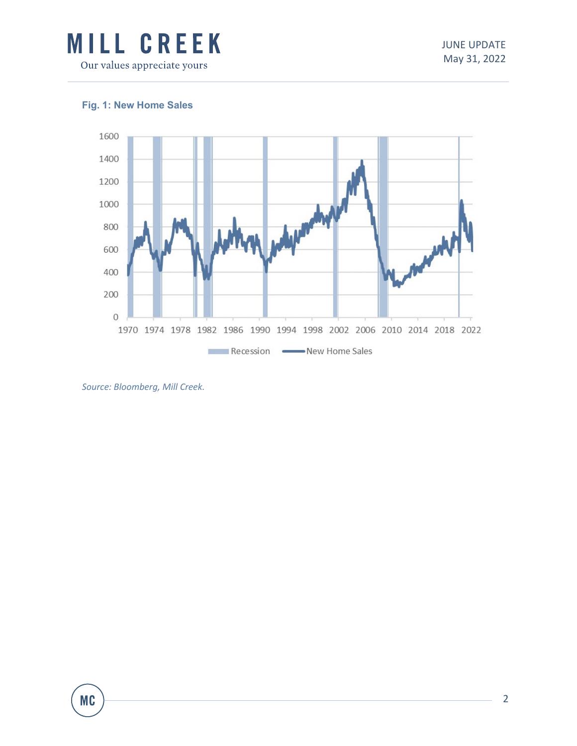

# **Fig. 1: New Home Sales**



*Source: Bloomberg, Mill Creek.*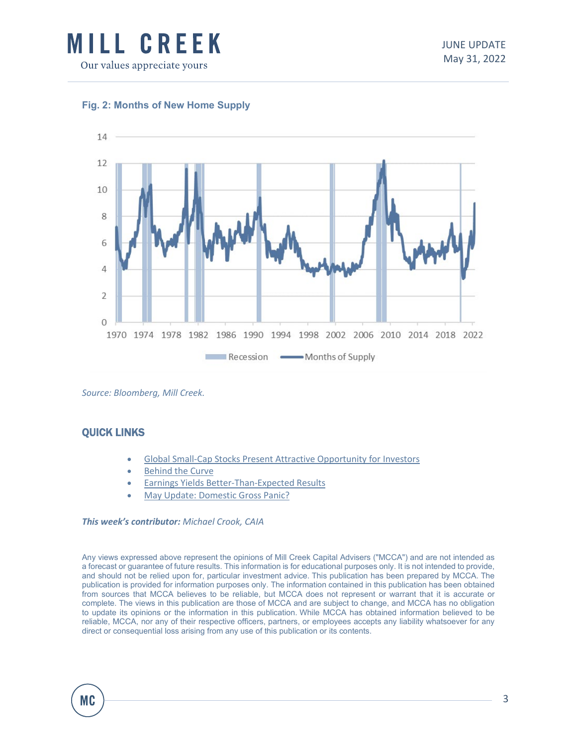



## **Fig. 2: Months of New Home Supply**

*Source: Bloomberg, Mill Creek.*

## QUICK LINKS

- [Global Small-Cap Stocks Present Attractive Opportunity for Investors](https://www.millcreekcap.com/wp-content/uploads/2022/05/Global-Small-Cap-Stocks-Present-Attractive-Opportunity-for-Investors-5.23.22.pdf)
- **[Behind the Curve](https://www.millcreekcap.com/wp-content/uploads/2022/05/Behind-the-Curve-5.16.22.pdf)**
- [Earnings Yields Better-Than-Expected Results](https://www.millcreekcap.com/wp-content/uploads/2022/05/Earnings-Season-Yields-Better-Than-Expected-Results-5.9.22-1.pdf)
- [May Update: Domestic Gross Panic?](https://www.millcreekcap.com/wp-content/uploads/2022/05/May-Update-Gross-Domestic-Panic-5.2.22.pdf)

#### *This week's contributor: Michael Crook, CAIA*

Any views expressed above represent the opinions of Mill Creek Capital Advisers ("MCCA") and are not intended as a forecast or guarantee of future results. This information is for educational purposes only. It is not intended to provide, and should not be relied upon for, particular investment advice. This publication has been prepared by MCCA. The publication is provided for information purposes only. The information contained in this publication has been obtained from sources that MCCA believes to be reliable, but MCCA does not represent or warrant that it is accurate or complete. The views in this publication are those of MCCA and are subject to change, and MCCA has no obligation to update its opinions or the information in this publication. While MCCA has obtained information believed to be reliable, MCCA, nor any of their respective officers, partners, or employees accepts any liability whatsoever for any direct or consequential loss arising from any use of this publication or its contents.